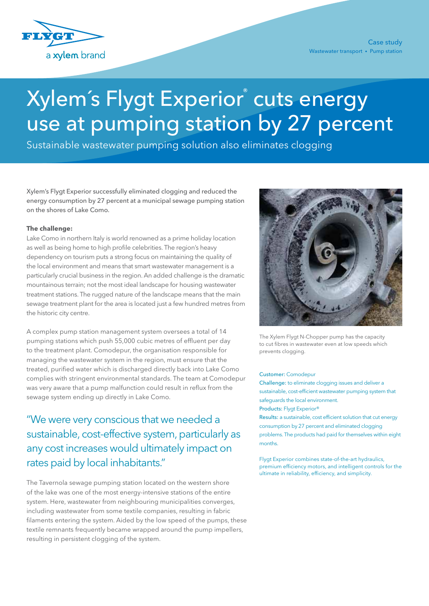

# Xylem's Flygt Experior® cuts energy use at pumping station by 27 percent

Sustainable wastewater pumping solution also eliminates clogging

Xylem's Flygt Experior successfully eliminated clogging and reduced the energy consumption by 27 percent at a municipal sewage pumping station on the shores of Lake Como.

### **The challenge:**

Lake Como in northern Italy is world renowned as a prime holiday location as well as being home to high profile celebrities. The region's heavy dependency on tourism puts a strong focus on maintaining the quality of the local environment and means that smart wastewater management is a particularly crucial business in the region. An added challenge is the dramatic mountainous terrain; not the most ideal landscape for housing wastewater treatment stations. The rugged nature of the landscape means that the main sewage treatment plant for the area is located just a few hundred metres from the historic city centre.

A complex pump station management system oversees a total of 14 pumping stations which push 55,000 cubic metres of effluent per day to the treatment plant. Comodepur, the organisation responsible for managing the wastewater system in the region, must ensure that the treated, purified water which is discharged directly back into Lake Como complies with stringent environmental standards. The team at Comodepur was very aware that a pump malfunction could result in reflux from the sewage system ending up directly in Lake Como.

"We were very conscious that we needed a sustainable, cost-effective system, particularly as any cost increases would ultimately impact on rates paid by local inhabitants."

The Tavernola sewage pumping station located on the western shore of the lake was one of the most energy-intensive stations of the entire system. Here, wastewater from neighbouring municipalities converges, including wastewater from some textile companies, resulting in fabric filaments entering the system. Aided by the low speed of the pumps, these textile remnants frequently became wrapped around the pump impellers, resulting in persistent clogging of the system.



The Xylem Flygt N-Chopper pump has the capacity to cut fibres in wastewater even at low speeds which prevents clogging.

#### Customer: Comodepur

Challenge: to eliminate clogging issues and deliver a sustainable, cost-efficient wastewater pumping system that safeguards the local environment. Products: Flygt Experior®

Results: a sustainable, cost efficient solution that cut energy consumption by 27 percent and eliminated clogging problems. The products had paid for themselves within eight months.

Flygt Experior combines state-of-the-art hydraulics, premium efficiency motors, and intelligent controls for the ultimate in reliability, efficiency, and simplicity.